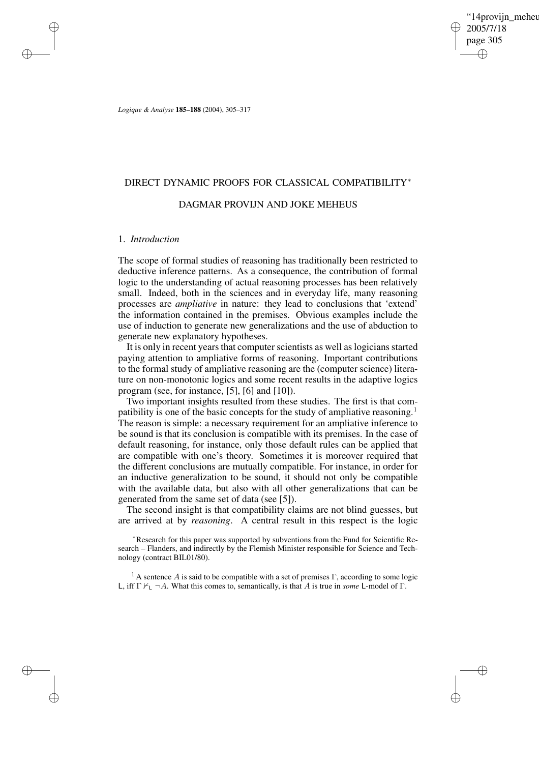'14proviin\_meheu 2005/7/18 page 305 ✐ ✐

✐

✐

*Logique & Analyse* **185–188** (2004), 305–317

# DIRECT DYNAMIC PROOFS FOR CLASSICAL COMPATIBILITY<sup>∗</sup>

## DAGMAR PROVIJN AND JOKE MEHEUS

#### 1. *Introduction*

✐

✐

✐

✐

The scope of formal studies of reasoning has traditionally been restricted to deductive inference patterns. As a consequence, the contribution of formal logic to the understanding of actual reasoning processes has been relatively small. Indeed, both in the sciences and in everyday life, many reasoning processes are *ampliative* in nature: they lead to conclusions that 'extend' the information contained in the premises. Obvious examples include the use of induction to generate new generalizations and the use of abduction to generate new explanatory hypotheses.

It is only in recent years that computer scientists as well as logicians started paying attention to ampliative forms of reasoning. Important contributions to the formal study of ampliative reasoning are the (computer science) literature on non-monotonic logics and some recent results in the adaptive logics program (see, for instance, [5], [6] and [10]).

Two important insights resulted from these studies. The first is that compatibility is one of the basic concepts for the study of ampliative reasoning.<sup>1</sup> The reason is simple: a necessary requirement for an ampliative inference to be sound is that its conclusion is compatible with its premises. In the case of default reasoning, for instance, only those default rules can be applied that are compatible with one's theory. Sometimes it is moreover required that the different conclusions are mutually compatible. For instance, in order for an inductive generalization to be sound, it should not only be compatible with the available data, but also with all other generalizations that can be generated from the same set of data (see [5]).

The second insight is that compatibility claims are not blind guesses, but are arrived at by *reasoning*. A central result in this respect is the logic

<sup>∗</sup>Research for this paper was supported by subventions from the Fund for Scientific Research – Flanders, and indirectly by the Flemish Minister responsible for Science and Technology (contract BIL01/80).

<sup>1</sup> A sentence A is said to be compatible with a set of premises  $\Gamma$ , according to some logic L, iff  $\Gamma \nvdash_{\mathsf{L}} \neg A$ . What this comes to, semantically, is that A is true in *some* L-model of  $\Gamma$ .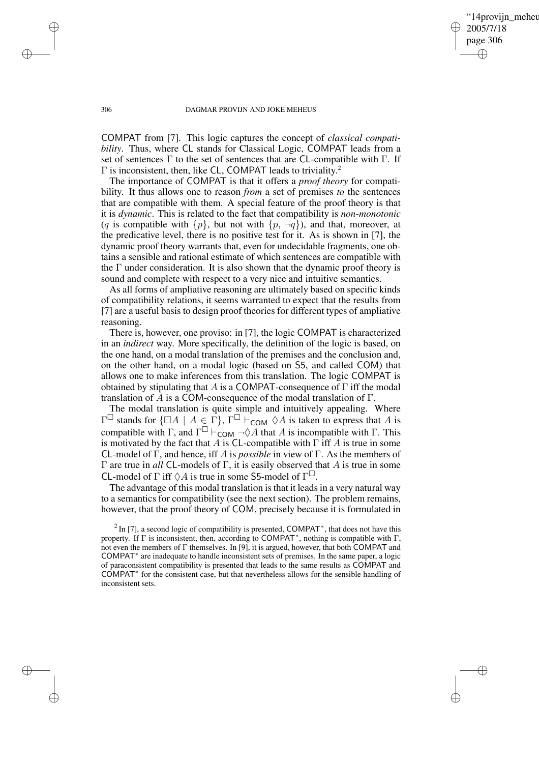'14provijn\_meheu 2005/7/18 page 306 ✐ ✐

✐

✐

#### 306 DAGMAR PROVIJN AND JOKE MEHEUS

COMPAT from [7]. This logic captures the concept of *classical compatibility*. Thus, where CL stands for Classical Logic, COMPAT leads from a set of sentences  $\Gamma$  to the set of sentences that are CL-compatible with  $\Gamma$ . If  $\Gamma$  is inconsistent, then, like CL, COMPAT leads to triviality.<sup>2</sup>

The importance of COMPAT is that it offers a *proof theory* for compatibility. It thus allows one to reason *from* a set of premises *to* the sentences that are compatible with them. A special feature of the proof theory is that it is *dynamic*. This is related to the fact that compatibility is *non-monotonic* (q is compatible with  $\{p\}$ , but not with  $\{p, \neg q\}$ ), and that, moreover, at the predicative level, there is no positive test for it. As is shown in [7], the dynamic proof theory warrants that, even for undecidable fragments, one obtains a sensible and rational estimate of which sentences are compatible with the  $\Gamma$  under consideration. It is also shown that the dynamic proof theory is sound and complete with respect to a very nice and intuitive semantics.

As all forms of ampliative reasoning are ultimately based on specific kinds of compatibility relations, it seems warranted to expect that the results from [7] are a useful basis to design proof theories for different types of ampliative reasoning.

There is, however, one proviso: in [7], the logic COMPAT is characterized in an *indirect* way. More specifically, the definition of the logic is based, on the one hand, on a modal translation of the premises and the conclusion and, on the other hand, on a modal logic (based on S5, and called COM) that allows one to make inferences from this translation. The logic COMPAT is obtained by stipulating that A is a COMPAT-consequence of  $\Gamma$  iff the modal translation of  $\hat{A}$  is a COM-consequence of the modal translation of  $\Gamma$ .

The modal translation is quite simple and intuitively appealing. Where  $\Gamma^{\square}$  stands for  $\{\square A \mid A \in \Gamma\}$ ,  $\Gamma^{\square} \vdash_{\mathsf{COM}} \Diamond A$  is taken to express that A is compatible with  $\Gamma$ , and  $\Gamma^{\square}$   $\vdash_{\mathsf{COM}} \neg \Diamond A$  that A is incompatible with  $\Gamma$ . This is motivated by the fact that A is CL-compatible with  $\Gamma$  iff A is true in some CL-model of Γ, and hence, iff A is *possible* in view of Γ. As the members of Γ are true in *all* CL-models of Γ, it is easily observed that A is true in some CL-model of  $\Gamma$  iff  $\Diamond A$  is true in some S5-model of  $\Gamma^{\Box}$ .

The advantage of this modal translation is that it leads in a very natural way to a semantics for compatibility (see the next section). The problem remains, however, that the proof theory of COM, precisely because it is formulated in

 $^{2}$  In [7], a second logic of compatibility is presented, COMPAT<sup>\*</sup>, that does not have this property. If Γ is inconsistent, then, according to COMPAT ∗ , nothing is compatible with Γ, not even the members of  $\Gamma$  themselves. In [9], it is argued, however, that both COMPAT and COMPAT<sup>\*</sup> are inadequate to handle inconsistent sets of premises. In the same paper, a logic of paraconsistent compatibility is presented that leads to the same results as COMPAT and COMPAT<sup>\*</sup> for the consistent case, but that nevertheless allows for the sensible handling of inconsistent sets.

✐

✐

✐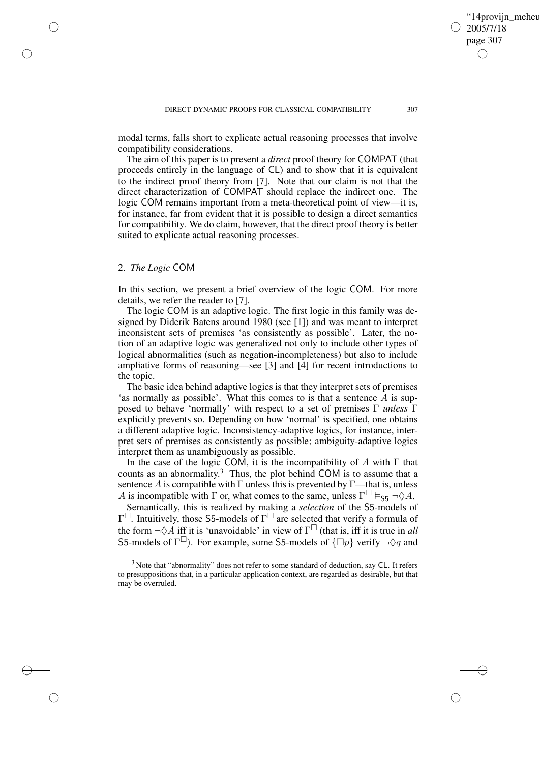modal terms, falls short to explicate actual reasoning processes that involve compatibility considerations.

The aim of this paper is to present a *direct* proof theory for COMPAT (that proceeds entirely in the language of CL) and to show that it is equivalent to the indirect proof theory from [7]. Note that our claim is not that the direct characterization of COMPAT should replace the indirect one. The logic COM remains important from a meta-theoretical point of view—it is, for instance, far from evident that it is possible to design a direct semantics for compatibility. We do claim, however, that the direct proof theory is better suited to explicate actual reasoning processes.

# 2. *The Logic* COM

✐

✐

✐

✐

In this section, we present a brief overview of the logic COM. For more details, we refer the reader to [7].

The logic COM is an adaptive logic. The first logic in this family was designed by Diderik Batens around 1980 (see [1]) and was meant to interpret inconsistent sets of premises 'as consistently as possible'. Later, the notion of an adaptive logic was generalized not only to include other types of logical abnormalities (such as negation-incompleteness) but also to include ampliative forms of reasoning—see [3] and [4] for recent introductions to the topic.

The basic idea behind adaptive logics is that they interpret sets of premises 'as normally as possible'. What this comes to is that a sentence A is supposed to behave 'normally' with respect to a set of premises Γ *unless* Γ explicitly prevents so. Depending on how 'normal' is specified, one obtains a different adaptive logic. Inconsistency-adaptive logics, for instance, interpret sets of premises as consistently as possible; ambiguity-adaptive logics interpret them as unambiguously as possible.

In the case of the logic COM, it is the incompatibility of A with  $\Gamma$  that counts as an abnormality. <sup>3</sup> Thus, the plot behind COM is to assume that a sentence A is compatible with  $\Gamma$  unless this is prevented by  $\Gamma$ —that is, unless A is incompatible with  $\Gamma$  or, what comes to the same, unless  $\Gamma^{\square} \vDash_{\mathsf{S5}} \neg \Diamond A$ .

Semantically, this is realized by making a *selection* of the S5-models of  $\Gamma^{\Box}$ . Intuitively, those S5-models of  $\Gamma^{\Box}$  are selected that verify a formula of the form  $\neg \Diamond A$  iff it is 'unavoidable' in view of  $\Gamma^{\Box}$  (that is, iff it is true in *all* S5-models of  $\Gamma^{\square}$ ). For example, some S5-models of  $\{\square p\}$  verify  $\neg \Diamond q$  and

'14provijn\_meheu

2005/7/18 page 307

✐

✐

✐

 $3$  Note that "abnormality" does not refer to some standard of deduction, say CL. It refers to presuppositions that, in a particular application context, are regarded as desirable, but that may be overruled.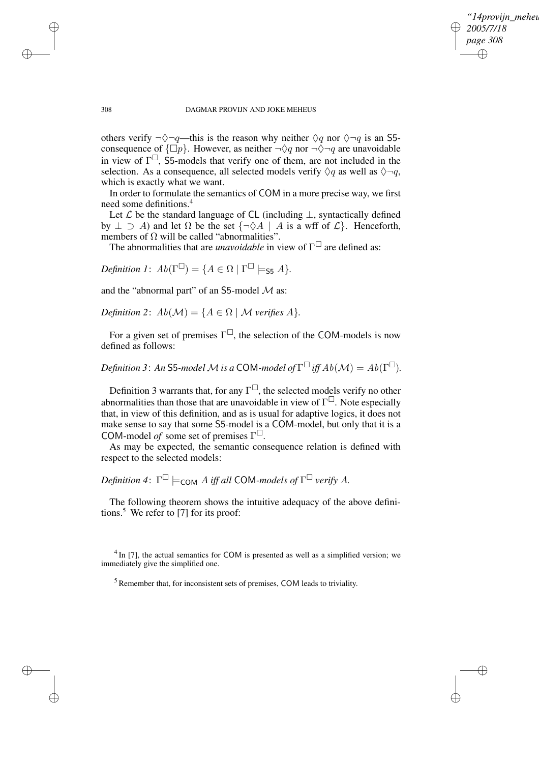*"14provijn\_meheus" 2005/7/18 page 308* ✐ ✐

✐

✐

#### 308 DAGMAR PROVIJN AND JOKE MEHEUS

others verify  $\neg \Diamond \neg q$ —this is the reason why neither  $\Diamond q$  nor  $\Diamond \neg q$  is an S5consequence of  $\{\Box p\}$ . However, as neither  $\neg \Diamond q$  nor  $\neg \Diamond \neg q$  are unavoidable in view of  $\Gamma^{\square}$ , S5-models that verify one of them, are not included in the selection. As a consequence, all selected models verify  $\Diamond q$  as well as  $\Diamond \neg q$ , which is exactly what we want.

In order to formulate the semantics of COM in a more precise way, we first need some definitions.<sup>4</sup>

Let  $\mathcal L$  be the standard language of CL (including  $\bot$ , syntactically defined by  $\perp \supseteq A$ ) and let  $\Omega$  be the set  $\{\neg \Diamond A \mid A$  is a wff of  $\mathcal{L}\}\). Henceforth,$ members of  $\Omega$  will be called "abnormalities".

The abnormalities that are *unavoidable* in view of  $\Gamma^{\Box}$  are defined as:

*Definition 1*:  $Ab(\Gamma^{\square}) = \{A \in \Omega \mid \Gamma^{\square} \models_{\mathsf{S5}} A\}.$ 

and the "abnormal part" of an S5-model  $M$  as:

*Definition* 2:  $Ab(\mathcal{M}) = \{A \in \Omega \mid \mathcal{M} \text{ verifies } A\}.$ 

For a given set of premises  $\Gamma^{\square}$ , the selection of the COM-models is now defined as follows:

*Definition 3* : An S5-model  $\cal M$  is a COM-model of  $\Gamma^\square$  iff  $Ab({\cal M})=Ab(\Gamma^\square).$ 

Definition 3 warrants that, for any  $\Gamma^{\square}$ , the selected models verify no other abnormalities than those that are unavoidable in view of  $\Gamma^{\Box}$ . Note especially that, in view of this definition, and as is usual for adaptive logics, it does not make sense to say that some S5-model is a COM-model, but only that it is a COM-model *of* some set of premises Γ .

As may be expected, the semantic consequence relation is defined with respect to the selected models:

 $D$ efinition 4:  $\Gamma^{\square} \models_{\mathsf{COM}} A$  iff all COM-models of  $\Gamma^{\square}$  verify A.

The following theorem shows the intuitive adequacy of the above definitions.<sup>5</sup> We refer to [7] for its proof:

 $4$  In [7], the actual semantics for COM is presented as well as a simplified version; we immediately give the simplified one.

<sup>5</sup> Remember that, for inconsistent sets of premises, COM leads to triviality.

✐

✐

✐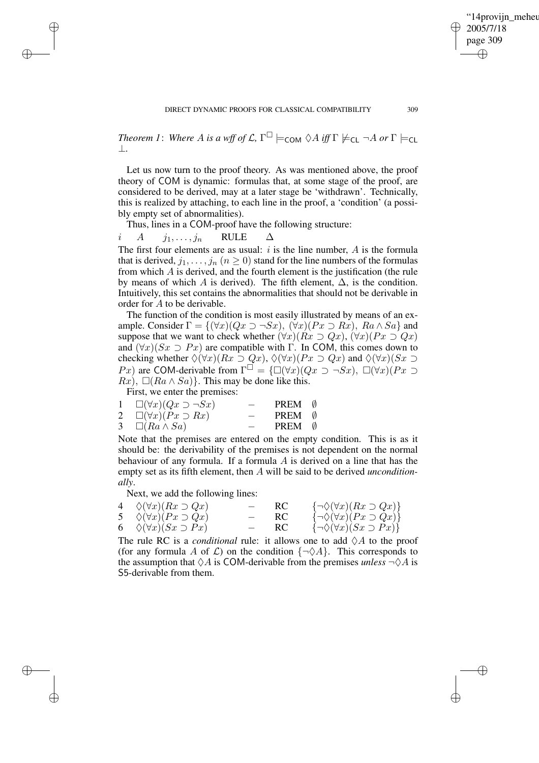✐

*Theorem 1*: *Where A is a wff of*  $\mathcal{L}$ ,  $\Gamma^{\square} \models_{\mathsf{COM}} \Diamond A$  *iff*  $\Gamma \not\models_{\mathsf{CL}} \neg A$  *or*  $\Gamma \models_{\mathsf{CL}}$ ⊥*.*

Let us now turn to the proof theory. As was mentioned above, the proof theory of COM is dynamic: formulas that, at some stage of the proof, are considered to be derived, may at a later stage be 'withdrawn'. Technically, this is realized by attaching, to each line in the proof, a 'condition' (a possibly empty set of abnormalities).

Thus, lines in a COM-proof have the following structure:

 $i \quad A \quad j_1, \ldots, j_n \quad \text{RULE} \quad \Delta$ The first four elements are as usual:  $i$  is the line number,  $A$  is the formula that is derived,  $j_1, \ldots, j_n$   $(n \ge 0)$  stand for the line numbers of the formulas from which A is derived, and the fourth element is the justification (the rule by means of which A is derived). The fifth element,  $\Delta$ , is the condition. Intuitively, this set contains the abnormalities that should not be derivable in order for A to be derivable.

The function of the condition is most easily illustrated by means of an example. Consider  $\Gamma = \{(\forall x)(Qx \supset \neg Sx), (\forall x)(Px \supset Rx), Ra \wedge Sa\}$  and suppose that we want to check whether  $(\forall x)(Rx \supset Qx)$ ,  $(\forall x)(Px \supset Qx)$ and  $(\forall x)(Sx \supset Px)$  are compatible with Γ. In COM, this comes down to checking whether  $\Diamond(\forall x)(Rx \supset Qx)$ ,  $\Diamond(\forall x)(Px \supset Qx)$  and  $\Diamond(\forall x)(Sx \supset$ Px) are COM-derivable from  $\Gamma^{\square} = {\square(\forall x)(Qx \supset \neg Sx), \square(\forall x)(Px \supset \neg Sx)}$  $Rx$ ),  $\Box (Ra \wedge Sa)$ . This may be done like this.

First, we enter the premises:

✐

✐

✐

✐

| $1 \quad \Box(\forall x)(Qx \supset \neg Sx)$ | $\sim$                   | PREM 0 |  |
|-----------------------------------------------|--------------------------|--------|--|
| 2 $\square(\forall x)(Px \supset Rx)$         | $-$                      | PREM 0 |  |
| 3 $\Box (Ra \wedge Sa)$                       | $\overline{\phantom{0}}$ | PREM 0 |  |

Note that the premises are entered on the empty condition. This is as it should be: the derivability of the premises is not dependent on the normal behaviour of any formula. If a formula A is derived on a line that has the empty set as its fifth element, then A will be said to be derived *unconditionally*.

Next, we add the following lines:

| 4 $\Diamond(\forall x)(Rx \supset Qx)$ | $-$ RC | $\{\neg \Diamond(\forall x)(Rx \supset Qx)\}\$ |
|----------------------------------------|--------|------------------------------------------------|
| 5 $\Diamond(\forall x)(Px \supset Qx)$ | $-$ RC | $\{\neg \Diamond(\forall x)(Px \supset Qx)\}\$ |
| 6 $\Diamond(\forall x)(Sx \supset Px)$ | $-$ RC | $\{\neg \Diamond(\forall x)(Sx \supset Px)\}\$ |

The rule RC is a *conditional* rule: it allows one to add  $\Diamond A$  to the proof (for any formula A of C) on the condition  $\{\neg \Diamond A\}$ . This corresponds to the assumption that  $\Diamond A$  is COM-derivable from the premises *unless*  $\neg \Diamond A$  is S5-derivable from them.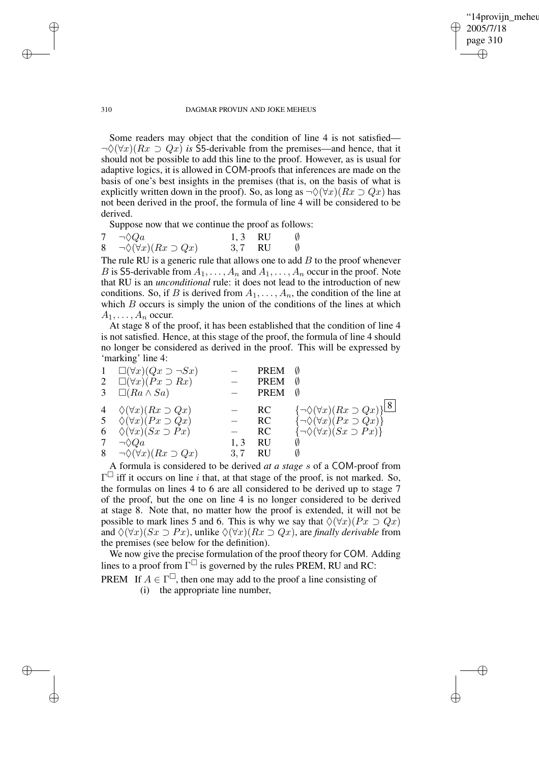✐

#### 310 DAGMAR PROVIJN AND JOKE MEHEUS

Some readers may object that the condition of line 4 is not satisfied—  $\neg \Diamond (\forall x)(Rx \supset Qx)$  *is* S5-derivable from the premises—and hence, that it should not be possible to add this line to the proof. However, as is usual for adaptive logics, it is allowed in COM-proofs that inferences are made on the basis of one's best insights in the premises (that is, on the basis of what is explicitly written down in the proof). So, as long as  $\neg \Diamond (\forall x)(Rx \supset Qx)$  has not been derived in the proof, the formula of line 4 will be considered to be derived.

Suppose now that we continue the proof as follows:

| 7 $\neg \lozenge Qa$                        | $1, 3$ RU | Ø           |
|---------------------------------------------|-----------|-------------|
| 8 $\neg \Diamond(\forall x)(Rx \supset Qx)$ | $3,7$ RU  | $\emptyset$ |

The rule RU is a generic rule that allows one to add  $B$  to the proof whenever B is S5-derivable from  $A_1, \ldots, A_n$  and  $A_1, \ldots, A_n$  occur in the proof. Note that RU is an *unconditional* rule: it does not lead to the introduction of new conditions. So, if B is derived from  $A_1, \ldots, A_n$ , the condition of the line at which  $B$  occurs is simply the union of the conditions of the lines at which  $A_1, \ldots, A_n$  occur.

At stage 8 of the proof, it has been established that the condition of line 4 is not satisfied. Hence, at this stage of the proof, the formula of line 4 should no longer be considered as derived in the proof. This will be expressed by 'marking' line 4:

| $\mathbf{1}$ | $\Box(\forall x)(Qx \supset \neg Sx)$<br>2 $\square(\forall x)(Px \supset Rx)$<br>3 $\Box (Ra \wedge Sa)$                                                                                       |            | PREM<br><b>PREM</b><br><b>PREM</b>  | Ø<br>Ø<br>Ø                                                                                                                                        |
|--------------|-------------------------------------------------------------------------------------------------------------------------------------------------------------------------------------------------|------------|-------------------------------------|----------------------------------------------------------------------------------------------------------------------------------------------------|
| 7            | 4 $\Diamond(\forall x)(Rx \supset Qx)$<br>5 $\Diamond(\forall x)(Px \supset Qx)$<br>6 $\Diamond(\forall x)(Sx \supset Px)$<br>$\neg \Diamond Qa$<br>8 $\neg \Diamond(\forall x)(Rx \supset Qx)$ | 1.3<br>3.7 | <b>RC</b><br>RC.<br>RC.<br>RU<br>RU | $\{\neg \Diamond(\forall x)(Rx \supset Qx)\}$ 8<br>$\{\neg \Diamond(\forall x)(Px \supset Qx)\}\$<br>$\{\neg \Diamond(\forall x)(Sx \supset Px)\}$ |

A formula is considered to be derived *at a stage* s of a COM-proof from  $\Gamma^{\square}$  iff it occurs on line i that, at that stage of the proof, is not marked. So, the formulas on lines 4 to 6 are all considered to be derived up to stage 7 of the proof, but the one on line 4 is no longer considered to be derived at stage 8. Note that, no matter how the proof is extended, it will not be possible to mark lines 5 and 6. This is why we say that  $\Diamond(\forall x)(Px \supset Qx)$ and  $\Diamond(\forall x)(Sx \supset Px)$ , unlike  $\Diamond(\forall x)(Rx \supset Qx)$ , are *finally derivable* from the premises (see below for the definition).

We now give the precise formulation of the proof theory for COM. Adding lines to a proof from  $\Gamma^{\square}$  is governed by the rules PREM, RU and RC:

PREM If  $A \in \Gamma^{\square}$ , then one may add to the proof a line consisting of

(i) the appropriate line number,

✐

✐

✐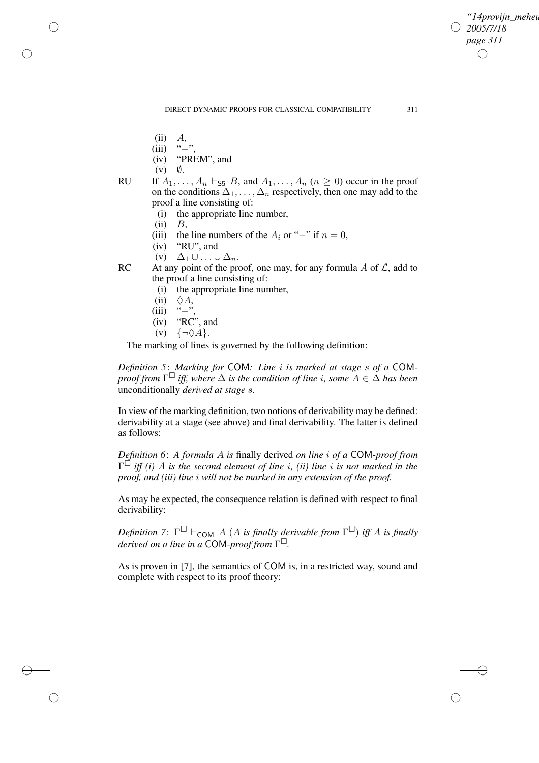*"14provijn\_meheus" 2005/7/18 page 311* ✐ ✐

✐

✐

- (ii)  $A$ ,<br>(iii) "-"
- $(iii)$
- (iv) "PREM", and
- $(v)$   $\emptyset$ .

✐

✐

✐

✐

- RU If  $A_1, \ldots, A_n \vdash_{\mathsf{S5}} B$ , and  $A_1, \ldots, A_n$   $(n \geq 0)$  occur in the proof on the conditions  $\Delta_1, \ldots, \Delta_n$  respectively, then one may add to the proof a line consisting of:
	- (i) the appropriate line number,
	- $(ii)$   $B$ ,
	- (iii) the line numbers of the  $A_i$  or "−" if  $n = 0$ ,
	- (iv) "RU", and
	- (v)  $\Delta_1 \cup ... \cup \Delta_n$ .
- RC At any point of the proof, one may, for any formula  $\overline{A}$  of  $\overline{L}$ , add to the proof a line consisting of:
	- (i) the appropriate line number,
	- (ii)  $\Diamond A$ ,
	- (iii) "−"<br>(iv) "RC
	- "RC", and
	- (v)  $\{\neg \Diamond A\}.$

The marking of lines is governed by the following definition:

*Definition 5*: *Marking for* COM*: Line* i *is marked at stage* s *of a* COM*proof from* Γ *iff, where* ∆ *is the condition of line* i*, some* A ∈ ∆ *has been* unconditionally *derived at stage* s*.*

In view of the marking definition, two notions of derivability may be defined: derivability at a stage (see above) and final derivability. The latter is defined as follows:

*Definition 6*: *A formula* A *is* finally derived *on line* i *of a* COM*-proof from* Γ *iff (i)* A *is the second element of line* i*, (ii) line* i *is not marked in the proof, and (iii) line* i *will not be marked in any extension of the proof.*

As may be expected, the consequence relation is defined with respect to final derivability:

*Definition* 7:  $\Gamma^{\square}$   $\vdash$   $_{COM}$  *A* (*A is finally derivable from*  $\Gamma^{\square}$ ) *iff A is finally derived on a line in a* COM*-proof from* Γ *.*

As is proven in [7], the semantics of COM is, in a restricted way, sound and complete with respect to its proof theory: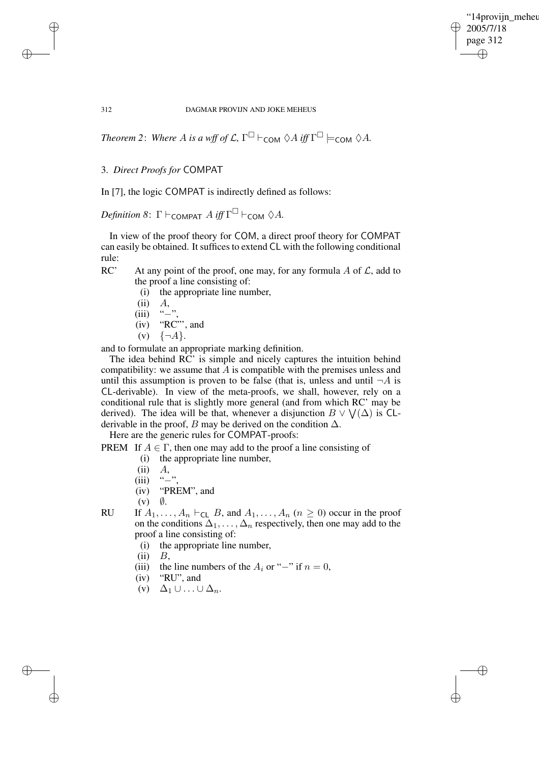"14provijn meheu 2005/7/18 page 312 ✐ ✐

✐

✐

312 DAGMAR PROVIJN AND JOKE MEHEUS

*Theorem* 2: *Where A is a wff of*  $\mathcal{L}$ ,  $\Gamma^{\square}$   $\vdash$   $_{\mathsf{COM}} \Diamond A$  *iff*  $\Gamma^{\square}$   $\models$   $_{\mathsf{COM}} \Diamond A$ .

# 3. *Direct Proofs for* COMPAT

✐

✐

✐

✐

In [7], the logic COMPAT is indirectly defined as follows:

 $Definition 8: \Gamma \vdash_{\mathsf{COMPATH}} A \text{ iff } \Gamma^{\square} \vdash_{\mathsf{COM}} \Diamond A.$ 

In view of the proof theory for COM, a direct proof theory for COMPAT can easily be obtained. It suffices to extend CL with the following conditional rule:

- RC' At any point of the proof, one may, for any formula  $\overline{A}$  of  $\overline{L}$ , add to the proof a line consisting of:
	- (i) the appropriate line number,
	- $(ii)$   $A$ ,
	- $(iii)$  "−"
	- $(iv)$  "RC"", and
	- $(v) \{ \neg A \}.$

and to formulate an appropriate marking definition.

The idea behind RC' is simple and nicely captures the intuition behind compatibility: we assume that  $A$  is compatible with the premises unless and until this assumption is proven to be false (that is, unless and until  $\neg A$  is CL-derivable). In view of the meta-proofs, we shall, however, rely on a conditional rule that is slightly more general (and from which RC' may be derived). The idea will be that, whenever a disjunction  $B \vee \bigvee(\Delta)$  is CLderivable in the proof, B may be derived on the condition  $\Delta$ .

Here are the generic rules for COMPAT-proofs:

PREM If  $A \in \Gamma$ , then one may add to the proof a line consisting of

- (i) the appropriate line number,
- $(ii)$   $A$ ,
- 
- (iii) "−"<br>(iv) "PR "PREM", and
- $(v)$   $\emptyset$ .
- RU If  $A_1, \ldots, A_n \vdash_{\mathsf{CL}} B$ , and  $A_1, \ldots, A_n$   $(n \geq 0)$  occur in the proof on the conditions  $\Delta_1, \ldots, \Delta_n$  respectively, then one may add to the proof a line consisting of:
	- (i) the appropriate line number,
	- $(ii)$   $B$ ,
	- (iii) the line numbers of the  $A_i$  or "−" if  $n = 0$ ,
	- (iv) "RU", and
	- (v)  $\Delta_1 \cup ... \cup \Delta_n$ .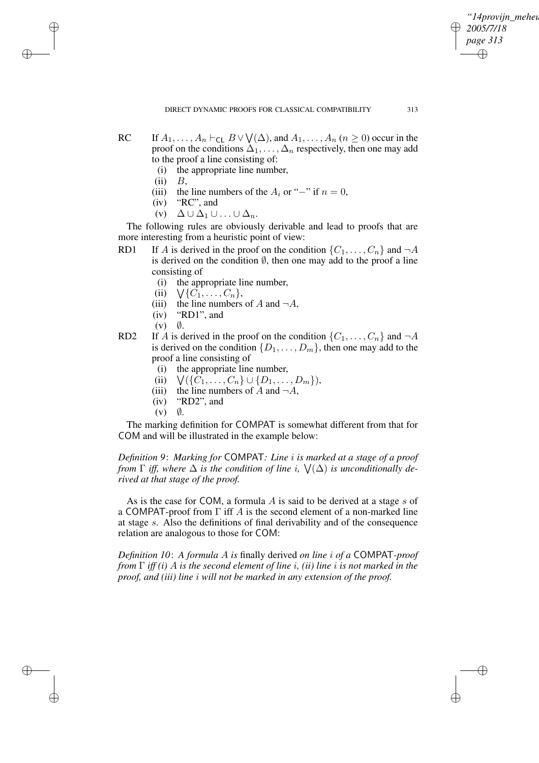*"14provijn\_meheus" 2005/7/18 page 313* ✐ ✐

✐

✐

- RC If  $A_1, \ldots, A_n \vdash_{\mathsf{CL}} B \vee \bigvee(\Delta)$ , and  $A_1, \ldots, A_n$   $(n \geq 0)$  occur in the proof on the conditions  $\Delta_1, \ldots, \Delta_n$  respectively, then one may add to the proof a line consisting of:
	- (i) the appropriate line number,
	- $(ii)$   $B$ ,

✐

✐

✐

✐

- (iii) the line numbers of the  $A_i$  or "−" if  $n = 0$ ,
- (iv) "RC", and
- (v)  $\Delta \cup \Delta_1 \cup ... \cup \Delta_n$ .

The following rules are obviously derivable and lead to proofs that are more interesting from a heuristic point of view:

- RD1 If A is derived in the proof on the condition  $\{C_1, \ldots, C_n\}$  and  $\neg A$ is derived on the condition  $\emptyset$ , then one may add to the proof a line consisting of
	- (i) the appropriate line number,
	- $(ii)$  $\bigvee \{C_1, \ldots, C_n\},\$
	- (iii) the line numbers of A and  $\neg A$ ,
	- (iv) "RD1", and
	- $(v)$   $\emptyset$ .
- RD2 If A is derived in the proof on the condition  $\{C_1, \ldots, C_n\}$  and  $\neg A$ is derived on the condition  $\{D_1, \ldots, D_m\}$ , then one may add to the proof a line consisting of
	- (i) the appropriate line number,
	- $(ii)$  $\bigvee \{C_1, \ldots, C_n\} \cup \{D_1, \ldots, D_m\},$
	- (iii) the line numbers of A and  $\neg A$ ,
	- (iv) "RD2", and
	- $(v)$   $\emptyset$ .

The marking definition for COMPAT is somewhat different from that for COM and will be illustrated in the example below:

*Definition 9*: *Marking for* COMPAT*: Line* i *is marked at a stage of a proof from*  $\Gamma$  *iff, where*  $\Delta$  *is the condition of line i,*  $\forall$ ( $\Delta$ ) *is unconditionally derived at that stage of the proof.*

As is the case for COM, a formula  $\vec{A}$  is said to be derived at a stage  $\vec{s}$  of a COMPAT-proof from  $\Gamma$  iff A is the second element of a non-marked line at stage s. Also the definitions of final derivability and of the consequence relation are analogous to those for COM:

*Definition 10*: *A formula* A *is* finally derived *on line* i *of a* COMPAT*-proof from* Γ *iff (i)* A *is the second element of line* i*, (ii) line* i *is not marked in the proof, and (iii) line* i *will not be marked in any extension of the proof.*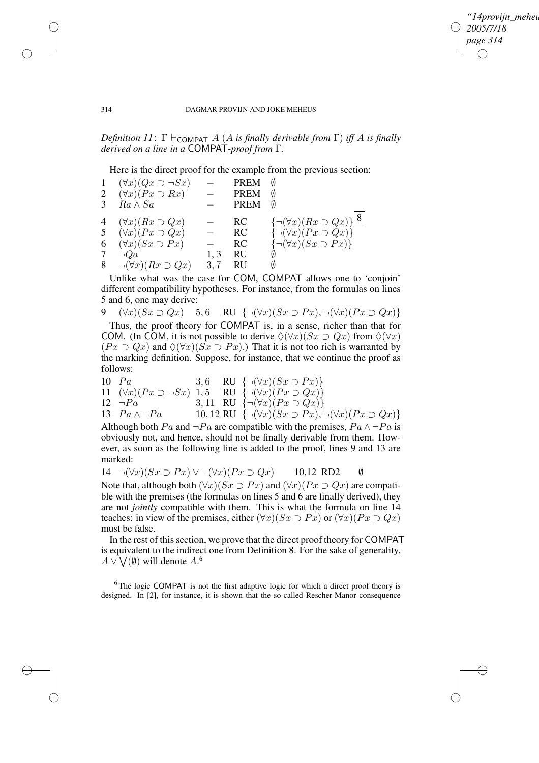✐

#### 314 DAGMAR PROVIJN AND JOKE MEHEUS

*Definition* 11:  $\Gamma \vdash_{\text{COMPATH}} A$  (A *is finally derivable from*  $\Gamma$ ) *iff* A *is finally derived on a line in a* COMPAT*-proof from* Γ*.*

Here is the direct proof for the example from the previous section:

|   | 1 $(\forall x)(Qx \supset \neg Sx)$ |     | PREM        |                                                  |
|---|-------------------------------------|-----|-------------|--------------------------------------------------|
|   | 2 $(\forall x)(Px \supset Rx)$      |     | <b>PREM</b> | Ø                                                |
| 3 | $Ra \wedge Sa$                      |     | <b>PREM</b> | Ø                                                |
|   |                                     |     |             |                                                  |
|   | 4 $(\forall x)(Rx \supset Qx)$      |     | RC          | $\bigl\{\neg(\forall x)(Rx \supset Qx)\bigr\}$ 8 |
|   | 5 $(\forall x)(Px \supset Qx)$      |     | RC          | $\{\neg(\forall x)(Px \supset Qx)\}\$            |
|   | 6 $(\forall x)(Sx \supset Px)$      |     | RC          | $\{\neg(\forall x)(Sx \supset Px)\}\$            |
| 7 | $\neg Qa$                           | 1.3 | RU          |                                                  |
|   | 8 $\neg(\forall x)(Rx \supset Qx)$  | 3,7 | RU          |                                                  |

Unlike what was the case for COM, COMPAT allows one to 'conjoin' different compatibility hypotheses. For instance, from the formulas on lines 5 and 6, one may derive:

9  $(\forall x)(Sx \supset Qx)$  5,6 RU  $\{\neg(\forall x)(Sx \supset Px), \neg(\forall x)(Px \supset Qx)\}\$ 

Thus, the proof theory for COMPAT is, in a sense, richer than that for COM. (In COM, it is not possible to derive  $\Diamond(\forall x)(Sx \supset Qx)$  from  $\Diamond(\forall x)$  $(Px \supset Qx)$  and  $\Diamond(\forall x)(Sx \supset Px)$ .) That it is not too rich is warranted by the marking definition. Suppose, for instance, that we continue the proof as follows:

10 
$$
Pa
$$
  
\n11  $(\forall x)(Px \supset \neg Sx)$   
\n12  $\neg Pa$   
\n13  $Pa \wedge \neg Pa$   
\n14  $(\forall x)(Px \supset \neg Sx)$   
\n15  $RU \{ \neg (\forall x)(Px \supset Qx) \}$   
\n16  $(\forall x)(Px \supset Qx)$   
\n17  $(\forall x)(Px \supset Qx)$   
\n18  $Pa \wedge \neg Pa$   
\n19, 12  $RU \{ \neg (\forall x)(Sx \supset Px), \neg (\forall x)(Px \supset Qx) \}$ 

Although both Pa and  $\neg Pa$  are compatible with the premises,  $Pa \wedge \neg Pa$  is obviously not, and hence, should not be finally derivable from them. However, as soon as the following line is added to the proof, lines 9 and 13 are marked:

14  $\neg(\forall x)(Sx \supset Px) \vee \neg(\forall x)(Px \supset Qx)$  10,12 RD2  $\emptyset$ 

Note that, although both  $(\forall x)(Sx \supset Px)$  and  $(\forall x)(Px \supset Qx)$  are compatible with the premises (the formulas on lines 5 and 6 are finally derived), they are not *jointly* compatible with them. This is what the formula on line 14 teaches: in view of the premises, either  $(\forall x)(Sx \supset Px)$  or  $(\forall x)(Px \supset Qx)$ must be false.

In the rest of this section, we prove that the direct proof theory for COMPAT is equivalent to the indirect one from Definition 8. For the sake of generality,  $A \vee \bigvee(\emptyset)$  will denote  $A$ .<sup>6</sup>

<sup>6</sup>The logic COMPAT is not the first adaptive logic for which a direct proof theory is designed. In [2], for instance, it is shown that the so-called Rescher-Manor consequence

✐

✐

✐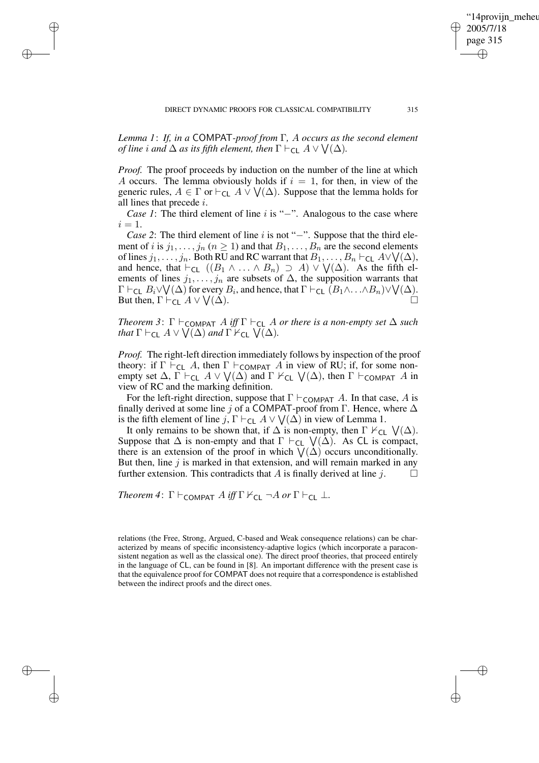*Lemma 1*: *If, in a* COMPAT*-proof from* Γ*,* A *occurs as the second element of line i and*  $\Delta$  *as its fifth element, then*  $\Gamma \vdash_{\mathsf{CL}} A \vee \bigvee (\Delta)$ *.* 

✐

✐

✐

✐

*Proof.* The proof proceeds by induction on the number of the line at which A occurs. The lemma obviously holds if  $i = 1$ , for then, in view of the generic rules,  $A \in \Gamma$  or  $\vdash_{\mathsf{CL}} A \vee \bigvee(\Delta)$ . Suppose that the lemma holds for all lines that precede i.

*Case 1*: The third element of line *i* is "−". Analogous to the case where  $i = 1$ .

*Case* 2: The third element of line *i* is not "−". Suppose that the third element of *i* is  $j_1, \ldots, j_n$  ( $n \ge 1$ ) and that  $B_1, \ldots, B_n$  are the second elements of lines  $j_1, \ldots, j_n$ . Both RU and RC warrant that  $B_1, \ldots, B_n \vdash_{\mathsf{CL}} A \lor \bigvee(\Delta)$ , and hence, that  $\vdash_{\mathsf{CL}} ((B_1 \land \ldots \land B_n) \supseteq A) \lor \bigvee(\Delta)$ . As the fifth elements of lines  $j_1, \ldots, j_n$  are subsets of  $\Delta$ , the supposition warrants that  $\Gamma \vdash_{\mathsf{CL}} B_i \vee \bigvee(\Delta)$  for every  $B_i$ , and hence, that  $\Gamma \vdash_{\mathsf{CL}} (B_1 \wedge \ldots \wedge B_n) \vee \bigvee(\Delta)$ . But then,  $\Gamma \vdash_{\mathsf{CL}} A \vee \bigvee$  $(\Delta)$ .

*Theorem* 3:  $\Gamma \vdash_{\text{COMPATH}} A$  *iff*  $\Gamma \vdash_{\text{CL}} A$  *or there is a non-empty set*  $\Delta$  *such that*  $\Gamma \vdash_{\mathsf{CL}} A \vee \bigvee(\Delta)$  *and*  $\Gamma \nvDash_{\mathsf{CL}} \bigvee(\Delta)$ .

*Proof.* The right-left direction immediately follows by inspection of the proof theory: if  $\Gamma \vdash_{\mathsf{CL}} A$ , then  $\Gamma \vdash_{\mathsf{COMPATH}} A$  in view of RU; if, for some nonempty set  $\Delta$ ,  $\Gamma \vdash_{CL} A \vee \bigvee(\Delta)$  and  $\Gamma \nvDash_{CL} \bigvee(\Delta)$ , then  $\Gamma \vdash_{COMPATH} A$  in view of RC and the marking definition.

For the left-right direction, suppose that  $\Gamma \vdash_{\mathsf{COMPATH}} A$ . In that case, A is finally derived at some line j of a COMPAT-proof from Γ. Hence, where  $\Delta$ is the fifth element of line j,  $\Gamma \vdash_{\mathsf{CL}} A \lor \bigvee(\Delta)$  in view of Lemma 1.

It only remains to be shown that, if  $\Delta$  is non-empty, then  $\Gamma \nvdash_{\text{CL}} \bigvee (\Delta)$ . Suppose that  $\Delta$  is non-empty and that  $\Gamma \vdash_{\mathsf{CL}} \bigvee(\Delta)$ . As CL is compact, there is an extension of the proof in which  $\bigvee(\Delta)$  occurs unconditionally. But then, line  $j$  is marked in that extension, and will remain marked in any further extension. This contradicts that A is finally derived at line j.  $\Box$ 

*Theorem* 4:  $\Gamma \vdash_{\text{COMPATH}} A$  *iff*  $\Gamma \not\vdash_{\text{CL}} \neg A$  *or*  $\Gamma \vdash_{\text{CL}} \bot$ .

relations (the Free, Strong, Argued, C-based and Weak consequence relations) can be characterized by means of specific inconsistency-adaptive logics (which incorporate a paraconsistent negation as well as the classical one). The direct proof theories, that proceed entirely in the language of CL, can be found in [8]. An important difference with the present case is that the equivalence proof for COMPAT does not require that a correspondence is established between the indirect proofs and the direct ones.

"14provijn meheu

2005/7/18 page 315

✐

✐

✐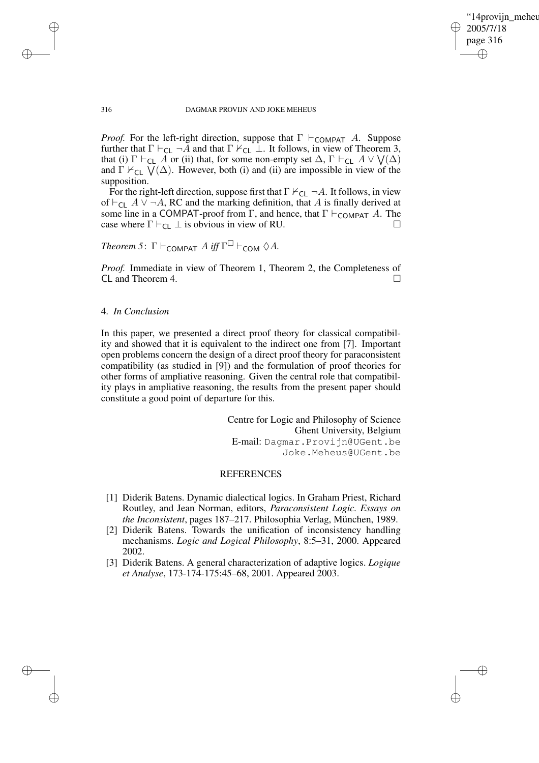✐

#### 316 DAGMAR PROVIJN AND JOKE MEHEUS

*Proof.* For the left-right direction, suppose that  $\Gamma \vdash_{\text{COMPATH}} A$ . Suppose further that  $\Gamma \vdash_{CL} \neg A$  and that  $\Gamma \nvdash_{CL} \bot$ . It follows, in view of Theorem 3, that (i)  $\Gamma \vdash_{\mathsf{CL}} A$  or (ii) that, for some non-empty set  $\Delta$ ,  $\Gamma \vdash_{\mathsf{CL}} A \vee \bigvee(\Delta)$ and  $\Gamma \nvDash_{CL} \overline{V}(\Delta)$ . However, both (i) and (ii) are impossible in view of the supposition.

For the right-left direction, suppose first that  $\Gamma \nvdash_{\text{CL}} \neg A$ . It follows, in view of  $\vdash_{\mathsf{CL}} A \lor \neg A$ , RC and the marking definition, that A is finally derived at some line in a COMPAT-proof from Γ, and hence, that  $\Gamma \vdash_{\text{COMPATH}} A$ . The case where  $\Gamma \vdash_{CL} \bot$  is obvious in view of RU.

Theorem 5: 
$$
\Gamma \vdash_{\text{COMPATH}} A
$$
 iff  $\Gamma^{\square} \vdash_{\text{COM}} \Diamond A$ .

*Proof.* Immediate in view of Theorem 1, Theorem 2, the Completeness of CL and Theorem 4.

# 4. *In Conclusion*

In this paper, we presented a direct proof theory for classical compatibility and showed that it is equivalent to the indirect one from [7]. Important open problems concern the design of a direct proof theory for paraconsistent compatibility (as studied in [9]) and the formulation of proof theories for other forms of ampliative reasoning. Given the central role that compatibility plays in ampliative reasoning, the results from the present paper should constitute a good point of departure for this.

> Centre for Logic and Philosophy of Science Ghent University, Belgium E-mail: Dagmar.Provijn@UGent.be Joke.Meheus@UGent.be

# **REFERENCES**

- [1] Diderik Batens. Dynamic dialectical logics. In Graham Priest, Richard Routley, and Jean Norman, editors, *Paraconsistent Logic. Essays on the Inconsistent*, pages 187–217. Philosophia Verlag, München, 1989.
- [2] Diderik Batens. Towards the unification of inconsistency handling mechanisms. *Logic and Logical Philosophy*, 8:5–31, 2000. Appeared 2002.
- [3] Diderik Batens. A general characterization of adaptive logics. *Logique et Analyse*, 173-174-175:45–68, 2001. Appeared 2003.

✐

✐

✐